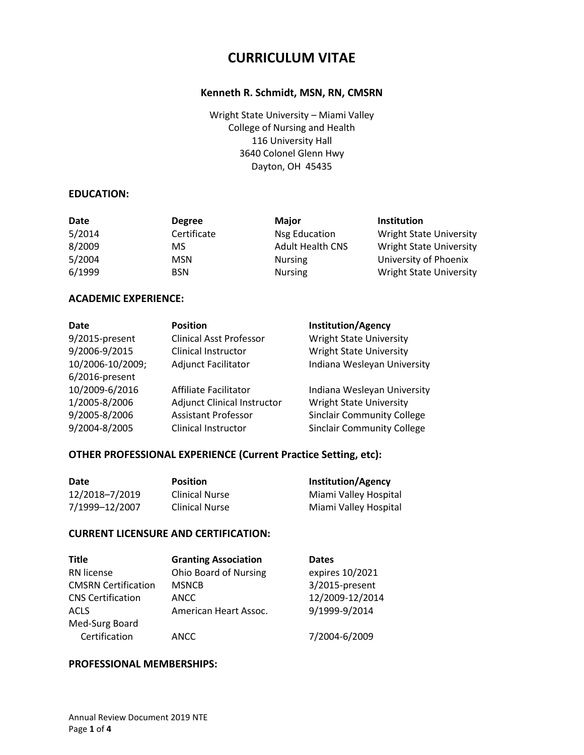# **CURRICULUM VITAE**

## **Kenneth R. Schmidt, MSN, RN, CMSRN**

Wright State University – Miami Valley College of Nursing and Health 116 University Hall 3640 Colonel Glenn Hwy Dayton, OH 45435

#### **EDUCATION:**

| Date   | <b>Degree</b> | <b>Major</b>            | <b>Institution</b>             |
|--------|---------------|-------------------------|--------------------------------|
| 5/2014 | Certificate   | Nsg Education           | <b>Wright State University</b> |
| 8/2009 | MS            | <b>Adult Health CNS</b> | <b>Wright State University</b> |
| 5/2004 | <b>MSN</b>    | <b>Nursing</b>          | University of Phoenix          |
| 6/1999 | <b>BSN</b>    | <b>Nursing</b>          | <b>Wright State University</b> |

# **ACADEMIC EXPERIENCE:**

| Date             | <b>Position</b>                    | <b>Institution/Agency</b>         |
|------------------|------------------------------------|-----------------------------------|
| 9/2015-present   | <b>Clinical Asst Professor</b>     | <b>Wright State University</b>    |
| 9/2006-9/2015    | Clinical Instructor                | <b>Wright State University</b>    |
| 10/2006-10/2009; | <b>Adjunct Facilitator</b>         | Indiana Wesleyan University       |
| 6/2016-present   |                                    |                                   |
| 10/2009-6/2016   | Affiliate Facilitator              | Indiana Wesleyan University       |
| 1/2005-8/2006    | <b>Adjunct Clinical Instructor</b> | <b>Wright State University</b>    |
| 9/2005-8/2006    | <b>Assistant Professor</b>         | <b>Sinclair Community College</b> |
| 9/2004-8/2005    | Clinical Instructor                | <b>Sinclair Community College</b> |

# **OTHER PROFESSIONAL EXPERIENCE (Current Practice Setting, etc):**

| Date           | <b>Position</b>       | <b>Institution/Agency</b> |
|----------------|-----------------------|---------------------------|
| 12/2018-7/2019 | <b>Clinical Nurse</b> | Miami Valley Hospital     |
| 7/1999-12/2007 | <b>Clinical Nurse</b> | Miami Valley Hospital     |

#### **CURRENT LICENSURE AND CERTIFICATION:**

| <b>Title</b>               | <b>Granting Association</b>  | <b>Dates</b>    |
|----------------------------|------------------------------|-----------------|
| RN license                 | <b>Ohio Board of Nursing</b> | expires 10/2021 |
| <b>CMSRN Certification</b> | <b>MSNCB</b>                 | 3/2015-present  |
| <b>CNS Certification</b>   | ANCC                         | 12/2009-12/2014 |
| ACLS                       | American Heart Assoc.        | 9/1999-9/2014   |
| Med-Surg Board             |                              |                 |
| Certification              | ANCC                         | 7/2004-6/2009   |

#### **PROFESSIONAL MEMBERSHIPS:**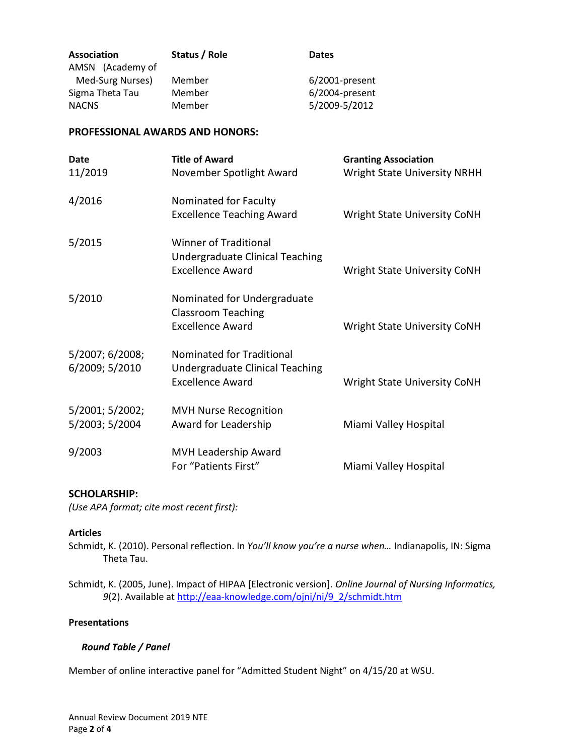| Status / Role | <b>Dates</b>      |
|---------------|-------------------|
|               |                   |
| Member        | $6/2001$ -present |
| Member        | 6/2004-present    |
| Member        | 5/2009-5/2012     |
|               |                   |

#### **PROFESSIONAL AWARDS AND HONORS:**

| Date                              | <b>Title of Award</b>                                                                      | <b>Granting Association</b>         |
|-----------------------------------|--------------------------------------------------------------------------------------------|-------------------------------------|
| 11/2019                           | November Spotlight Award                                                                   | <b>Wright State University NRHH</b> |
| 4/2016                            | Nominated for Faculty<br><b>Excellence Teaching Award</b>                                  | <b>Wright State University CoNH</b> |
| 5/2015                            | <b>Winner of Traditional</b><br>Undergraduate Clinical Teaching<br><b>Excellence Award</b> | <b>Wright State University CoNH</b> |
| 5/2010                            | Nominated for Undergraduate<br><b>Classroom Teaching</b><br><b>Excellence Award</b>        | <b>Wright State University CoNH</b> |
| 5/2007; 6/2008;<br>6/2009; 5/2010 | Nominated for Traditional<br>Undergraduate Clinical Teaching<br><b>Excellence Award</b>    | <b>Wright State University CoNH</b> |
| 5/2001; 5/2002;<br>5/2003; 5/2004 | <b>MVH Nurse Recognition</b><br>Award for Leadership                                       | Miami Valley Hospital               |
| 9/2003                            | MVH Leadership Award<br>For "Patients First"                                               | Miami Valley Hospital               |

# **SCHOLARSHIP:**

*(Use APA format; cite most recent first):*

#### **Articles**

Schmidt, K. (2010). Personal reflection. In *You'll know you're a nurse when…* Indianapolis, IN: Sigma Theta Tau.

Schmidt, K. (2005, June). Impact of HIPAA [Electronic version]. *Online Journal of Nursing Informatics, 9*(2). Available a[t http://eaa-knowledge.com/ojni/ni/9\\_2/schmidt.htm](http://eaa-knowledge.com/ojni/ni/9_2/schmidt.htm)

#### **Presentations**

#### *Round Table / Panel*

Member of online interactive panel for "Admitted Student Night" on 4/15/20 at WSU.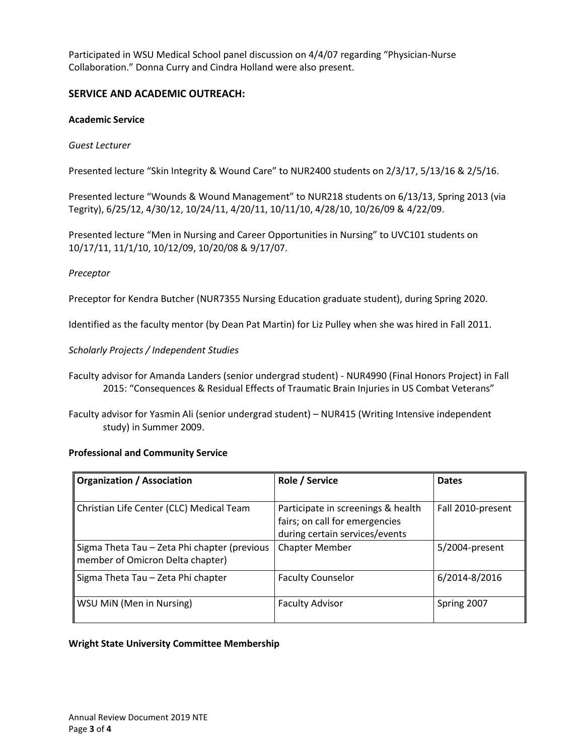Participated in WSU Medical School panel discussion on 4/4/07 regarding "Physician-Nurse Collaboration." Donna Curry and Cindra Holland were also present.

# **SERVICE AND ACADEMIC OUTREACH:**

#### **Academic Service**

#### *Guest Lecturer*

Presented lecture "Skin Integrity & Wound Care" to NUR2400 students on 2/3/17, 5/13/16 & 2/5/16.

Presented lecture "Wounds & Wound Management" to NUR218 students on 6/13/13, Spring 2013 (via Tegrity), 6/25/12, 4/30/12, 10/24/11, 4/20/11, 10/11/10, 4/28/10, 10/26/09 & 4/22/09.

Presented lecture "Men in Nursing and Career Opportunities in Nursing" to UVC101 students on 10/17/11, 11/1/10, 10/12/09, 10/20/08 & 9/17/07.

#### *Preceptor*

Preceptor for Kendra Butcher (NUR7355 Nursing Education graduate student), during Spring 2020.

Identified as the faculty mentor (by Dean Pat Martin) for Liz Pulley when she was hired in Fall 2011.

#### *Scholarly Projects / Independent Studies*

- Faculty advisor for Amanda Landers (senior undergrad student) NUR4990 (Final Honors Project) in Fall 2015: "Consequences & Residual Effects of Traumatic Brain Injuries in US Combat Veterans"
- Faculty advisor for Yasmin Ali (senior undergrad student) NUR415 (Writing Intensive independent study) in Summer 2009.

#### **Professional and Community Service**

| <b>Organization / Association</b>                                                | Role / Service                                                                                         | <b>Dates</b>      |
|----------------------------------------------------------------------------------|--------------------------------------------------------------------------------------------------------|-------------------|
|                                                                                  |                                                                                                        |                   |
| Christian Life Center (CLC) Medical Team                                         | Participate in screenings & health<br>fairs; on call for emergencies<br>during certain services/events | Fall 2010-present |
| Sigma Theta Tau - Zeta Phi chapter (previous<br>member of Omicron Delta chapter) | <b>Chapter Member</b>                                                                                  | 5/2004-present    |
| Sigma Theta Tau - Zeta Phi chapter                                               | <b>Faculty Counselor</b>                                                                               | 6/2014-8/2016     |
| WSU MiN (Men in Nursing)                                                         | <b>Faculty Advisor</b>                                                                                 | Spring 2007       |

#### **Wright State University Committee Membership**